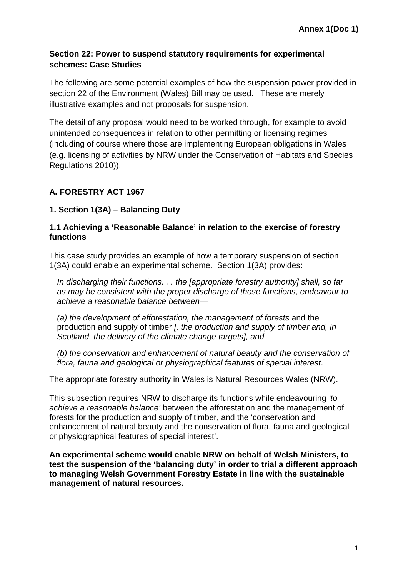## **Section 22: Power to suspend statutory requirements for experimental schemes: Case Studies**

The following are some potential examples of how the suspension power provided in section 22 of the Environment (Wales) Bill may be used. These are merely illustrative examples and not proposals for suspension.

The detail of any proposal would need to be worked through, for example to avoid unintended consequences in relation to other permitting or licensing regimes (including of course where those are implementing European obligations in Wales (e.g. licensing of activities by NRW under the Conservation of Habitats and Species Regulations 2010)).

# **A. FORESTRY ACT 1967**

## **1. Section 1(3A) – Balancing Duty**

### **1.1 Achieving a 'Reasonable Balance' in relation to the exercise of forestry functions**

This case study provides an example of how a temporary suspension of section 1(3A) could enable an experimental scheme. Section 1(3A) provides:

*In discharging their functions. . . the [appropriate forestry authority] shall, so far as may be consistent with the proper discharge of those functions, endeavour to achieve a reasonable balance between—*

*(a) the development of afforestation, the management of forests* and the production and supply of timber *[, the production and supply of timber and, in Scotland, the delivery of the climate change targets], and*

*(b) the conservation and enhancement of natural beauty and the conservation of flora, fauna and geological or physiographical features of special interest*.

The appropriate forestry authority in Wales is Natural Resources Wales (NRW).

This subsection requires NRW to discharge its functions while endeavouring *'to achieve a reasonable balance'* between the afforestation and the management of forests for the production and supply of timber, and the 'conservation and enhancement of natural beauty and the conservation of flora, fauna and geological or physiographical features of special interest'.

**An experimental scheme would enable NRW on behalf of Welsh Ministers, to test the suspension of the 'balancing duty' in order to trial a different approach to managing Welsh Government Forestry Estate in line with the sustainable management of natural resources.**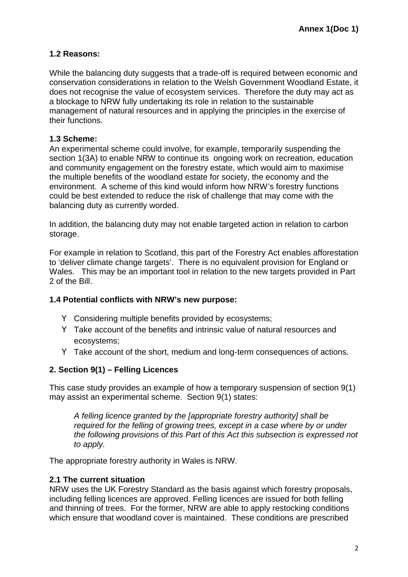# **1.2 Reasons:**

While the balancing duty suggests that a trade-off is required between economic and conservation considerations in relation to the Welsh Government Woodland Estate, it does not recognise the value of ecosystem services. Therefore the duty may act as a blockage to NRW fully undertaking its role in relation to the sustainable management of natural resources and in applying the principles in the exercise of their functions.

## **1.3 Scheme:**

An experimental scheme could involve, for example, temporarily suspending the section 1(3A) to enable NRW to continue its ongoing work on recreation, education and community engagement on the forestry estate, which would aim to maximise the multiple benefits of the woodland estate for society, the economy and the environment. A scheme of this kind would inform how NRW's forestry functions could be best extended to reduce the risk of challenge that may come with the balancing duty as currently worded.

In addition, the balancing duty may not enable targeted action in relation to carbon storage.

For example in relation to Scotland, this part of the Forestry Act enables afforestation to 'deliver climate change targets'. There is no equivalent provision for England or Wales. This may be an important tool in relation to the new targets provided in Part 2 of the Bill.

## **1.4 Potential conflicts with NRW's new purpose:**

Considering multiple benefits provided by ecosystems;

Take account of the benefits and intrinsic value of natural resources and ecosystems;

Take account of the short, medium and long-term consequences of actions.

## **2. Section 9(1) – Felling Licences**

This case study provides an example of how a temporary suspension of section 9(1) may assist an experimental scheme. Section 9(1) states:

*A felling licence granted by the [appropriate forestry authority] shall be required for the felling of growing trees, except in a case where by or under the following provisions of this Part of this Act this subsection is expressed not to apply.*

The appropriate forestry authority in Wales is NRW.

## **2.1 The current situation**

NRW uses the UK Forestry Standard as the basis against which forestry proposals, including felling licences are approved. Felling licences are issued for both felling and thinning of trees. For the former, NRW are able to apply restocking conditions which ensure that woodland cover is maintained. These conditions are prescribed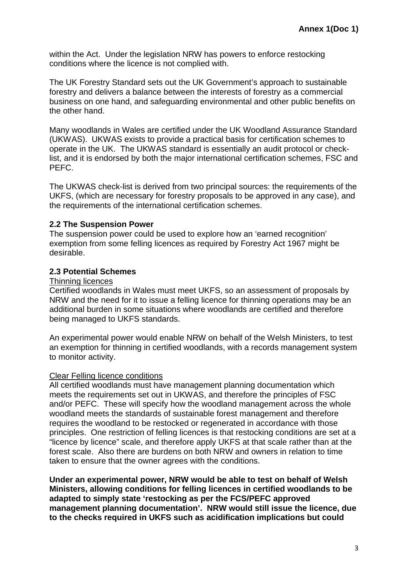within the Act. Under the legislation NRW has powers to enforce restocking conditions where the licence is not complied with.

The UK Forestry Standard sets out the UK Government's approach to sustainable forestry and delivers a balance between the interests of forestry as a commercial business on one hand, and safeguarding environmental and other public benefits on the other hand.

Many woodlands in Wales are certified under the UK Woodland Assurance Standard (UKWAS). UKWAS exists to provide a practical basis for certification schemes to operate in the UK. The UKWAS standard is essentially an audit protocol or checklist, and it is endorsed by both the major international certification schemes, FSC and PEFC.

The UKWAS check-list is derived from two principal sources: the requirements of the UKFS, (which are necessary for forestry proposals to be approved in any case), and the requirements of the international certification schemes.

### **2.2 The Suspension Power**

The suspension power could be used to explore how an 'earned recognition' exemption from some felling licences as required by Forestry Act 1967 might be desirable.

#### **2.3 Potential Schemes**

#### Thinning licences

Certified woodlands in Wales must meet UKFS, so an assessment of proposals by NRW and the need for it to issue a felling licence for thinning operations may be an additional burden in some situations where woodlands are certified and therefore being managed to UKFS standards.

An experimental power would enable NRW on behalf of the Welsh Ministers, to test an exemption for thinning in certified woodlands, with a records management system to monitor activity.

#### Clear Felling licence conditions

All certified woodlands must have management planning documentation which meets the requirements set out in UKWAS, and therefore the principles of FSC and/or PEFC. These will specify how the woodland management across the whole woodland meets the standards of sustainable forest management and therefore requires the woodland to be restocked or regenerated in accordance with those principles. One restriction of felling licences is that restocking conditions are set at a "licence by licence" scale, and therefore apply UKFS at that scale rather than at the forest scale. Also there are burdens on both NRW and owners in relation to time taken to ensure that the owner agrees with the conditions.

**Under an experimental power, NRW would be able to test on behalf of Welsh Ministers, allowing conditions for felling licences in certified woodlands to be adapted to simply state 'restocking as per the FCS/PEFC approved management planning documentation'. NRW would still issue the licence, due to the checks required in UKFS such as acidification implications but could**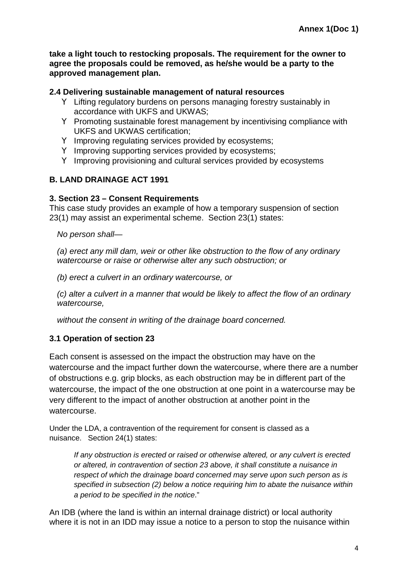**take a light touch to restocking proposals. The requirement for the owner to agree the proposals could be removed, as he/she would be a party to the approved management plan.**

### **2.4 Delivering sustainable management of natural resources**

Lifting regulatory burdens on persons managing forestry sustainably in accordance with UKFS and UKWAS; Promoting sustainable forest management by incentivising compliance with UKFS and UKWAS certification; Improving regulating services provided by ecosystems; Improving supporting services provided by ecosystems; Improving provisioning and cultural services provided by ecosystems

# **B. LAND DRAINAGE ACT 1991**

### **3. Section 23 – Consent Requirements**

This case study provides an example of how a temporary suspension of section 23(1) may assist an experimental scheme. Section 23(1) states:

*No person shall—*

*(a) erect any mill dam, weir or other like obstruction to the flow of any ordinary watercourse or raise or otherwise alter any such obstruction; or*

*(b) erect a culvert in an ordinary watercourse, or*

*(c) alter a culvert in a manner that would be likely to affect the flow of an ordinary watercourse,*

*without the consent in writing of the drainage board concerned.*

## **3.1 Operation of section 23**

Each consent is assessed on the impact the obstruction may have on the watercourse and the impact further down the watercourse, where there are a number of obstructions e.g. grip blocks, as each obstruction may be in different part of the watercourse, the impact of the one obstruction at one point in a watercourse may be very different to the impact of another obstruction at another point in the watercourse.

Under the LDA, a contravention of the requirement for consent is classed as a nuisance. Section 24(1) states:

*If any obstruction is erected or raised or otherwise altered, or any culvert is erected or altered, in contravention of section 23 above, it shall constitute a nuisance in respect of which the drainage board concerned may serve upon such person as is specified in subsection (2) below a notice requiring him to abate the nuisance within a period to be specified in the notice*."

An IDB (where the land is within an internal drainage district) or local authority where it is not in an IDD may issue a notice to a person to stop the nuisance within